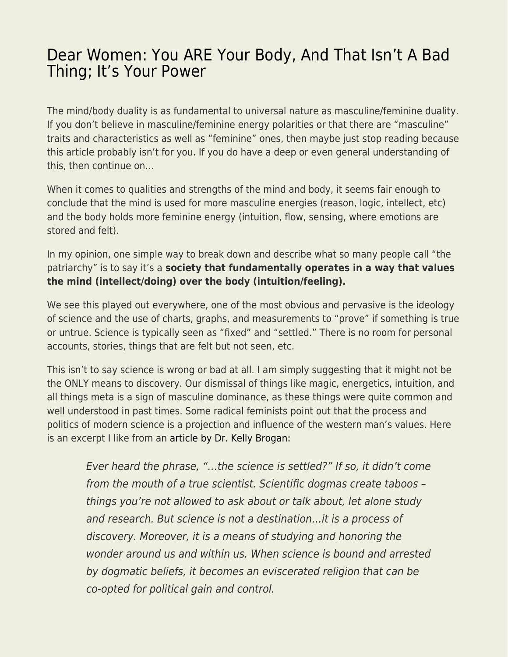## [Dear Women: You ARE Your Body, And That Isn't A Bad](https://everything-voluntary.com/dear-women-you-are-your-body-and-that-isnt-a-bad-thing-its-your-power) [Thing; It's Your Power](https://everything-voluntary.com/dear-women-you-are-your-body-and-that-isnt-a-bad-thing-its-your-power)

The mind/body duality is as fundamental to universal nature as masculine/feminine duality. If you don't believe in masculine/feminine energy polarities or that there are "masculine" traits and characteristics as well as "feminine" ones, then maybe just stop reading because this article probably isn't for you. If you do have a deep or even general understanding of this, then continue on…

When it comes to qualities and strengths of the mind and body, it seems fair enough to conclude that the mind is used for more masculine energies (reason, logic, intellect, etc) and the body holds more feminine energy (intuition, flow, sensing, where emotions are stored and felt).

In my opinion, one simple way to break down and describe what so many people call "the patriarchy" is to say it's a **society that fundamentally operates in a way that values the mind (intellect/doing) over the body (intuition/feeling).** 

We see this played out everywhere, one of the most obvious and pervasive is the ideology of science and the use of charts, graphs, and measurements to "prove" if something is true or untrue. Science is typically seen as "fixed" and "settled." There is no room for personal accounts, stories, things that are felt but not seen, etc.

This isn't to say science is wrong or bad at all. I am simply suggesting that it might not be the ONLY means to discovery. Our dismissal of things like magic, energetics, intuition, and all things meta is a sign of masculine dominance, as these things were quite common and well understood in past times. Some radical feminists point out that the process and politics of modern science is a projection and influence of the western man's values. Here is an excerpt I like from an [article by Dr. Kelly Brogan:](https://kellybroganmd.com/the-science-delusion/)

Ever heard the phrase, "…the science is settled?" If so, it didn't come from the mouth of a true scientist. Scientific dogmas create taboos – things you're not allowed to ask about or talk about, let alone study and research. But science is not a destination…it is a process of discovery. Moreover, it is a means of studying and honoring the wonder around us and within us. When science is bound and arrested by dogmatic beliefs, it becomes an eviscerated religion that can be co-opted for political gain and control.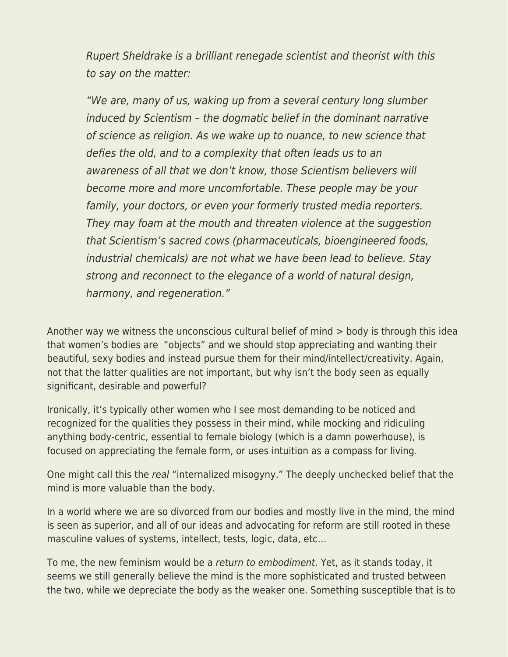Rupert Sheldrake is a brilliant renegade scientist and theorist with this to say on the matter:

"We are, many of us, waking up from a several century long slumber induced by Scientism – the dogmatic belief in the dominant narrative of science as religion. As we wake up to nuance, to new science that defies the old, and to a complexity that often leads us to an awareness of all that we don't know, those Scientism believers will become more and more uncomfortable. These people may be your family, your doctors, or even your formerly trusted media reporters. They may foam at the mouth and threaten violence at the suggestion that Scientism's sacred cows (pharmaceuticals, bioengineered foods, industrial chemicals) are not what we have been lead to believe. Stay strong and reconnect to the elegance of a world of natural design, harmony, and regeneration."

Another way we witness the unconscious cultural belief of mind > body is through this idea that women's bodies are "objects" and we should stop appreciating and wanting their beautiful, sexy bodies and instead pursue them for their mind/intellect/creativity. Again, not that the latter qualities are not important, but why isn't the body seen as equally significant, desirable and powerful?

Ironically, it's typically other women who I see most demanding to be noticed and recognized for the qualities they possess in their mind, while mocking and ridiculing anything body-centric, essential to female biology (which is a damn powerhouse), is focused on appreciating the female form, or uses intuition as a compass for living.

One might call this the real "internalized misogyny." The deeply unchecked belief that the mind is more valuable than the body.

In a world where we are so divorced from our bodies and mostly live in the mind, the mind is seen as superior, and all of our ideas and advocating for reform are still rooted in these masculine values of systems, intellect, tests, logic, data, etc…

To me, the new feminism would be a return to embodiment. Yet, as it stands today, it seems we still generally believe the mind is the more sophisticated and trusted between the two, while we depreciate the body as the weaker one. Something susceptible that is to